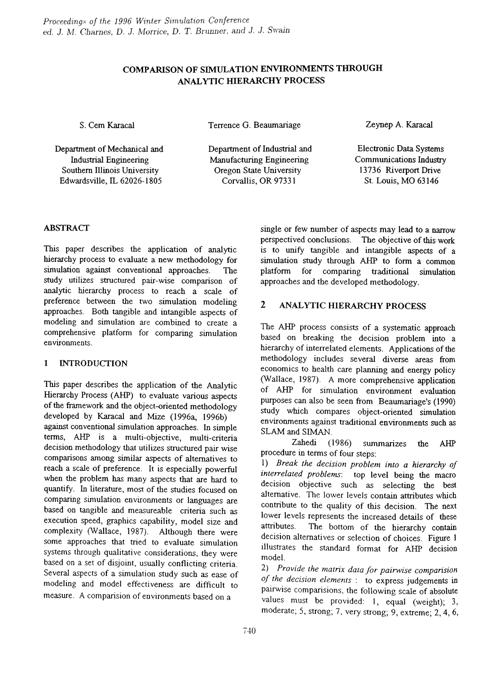# COMPARISON OF SIMULATION ENVIRONMENTS THROUGH ANALYTIC HIERARCHY PROCESS

S. Cem Karacal

Terrence G. Beaumariage

Zeynep A. Karacal

Electronic Data Systems

Department of Mechanical and Industrial Engineering Southern Illinois University Edwardsville, IL 62026-1805

Department of Industrial and Manufacturing Engineering Oregon State University Corvallis, OR 97331

Communications Industry 13736 Riverport Drive St. Louis, MO 63146

## ABSTRACT

This paper describes the application of analytic hierarchy process to evaluate a new methodology for simulation against conventional approaches. The study utilizes structured pair-wise comparison of analytic hierarchy process to reach a scale of preference between the two simulation modeling approaches. Both tangible and intangible aspects of modeling and simulation are combined to create a comprehensive platfonn for comparing simulation environments.

## 1 INTRODUCTION

This paper describes the application of the Analytic Hierarchy Process (AHP) to evaluate various aspects of the framework and the object-oriented methodology developed by Karacal and Mize (1996a, 1996b) against conventional simulation approaches. In simple tenns, AHP is a multi-objective, multi-criteria decision methodology that utilizes structured pair wise comparisons among similar aspects of alternatives to reach a scale of preference. It is especially powerful when the problem has many aspects that are hard to quantify. In literature, most of the studies focused on comparing simulation environments or languages are based on tangible and measureable criteria such as execution speed, graphics capability, model size and complexity (Wallace, 1987). Although there were some approaches that tried to evaluate simulation systems through qualitative considerations, they were based on a set of disjoint, usually conflicting criteria. Several aspects of a simulation study such as ease of modeling and model effectiveness are difficult to measure. A comparision of environments based on a

single or few number of aspects may lead to a narrow perspectived conclusions. The objective of this work is to unify tangible and intangible aspects of a simulation study through AHP to form a common platfonn for comparing traditional simulation approaches and the developed methodology.

## 2 ANALYTIC HIERARCHY PROCESS

The AHP process consists of a systematic approach based on breaking the decision problem into a hierarchy of interrelated elements. Applications of the methodology includes several diverse areas from economics to health care planning and energy policy (Wallace, 1987). A more comprehensive application of AHP for simulation environment evaluation purposes can also be seen from Beaumariage's (1990) study which compares object-oriented simulation environments against traditional environments such as SLAM and SIMAN.

Zahedi (1986) summarizes the AHP procedure in terms of four steps:

*1) Break the decision problem into a hierarchy of interrelated problems:* top level being the macro decision objective such as selecting the best alternative. The lower levels contain attributes which contribute to the quality of this decision. The next lower levels represents the increased details of these attributes. The bottom of the hierarchy contain decision alternatives or selection of choices. Figure 1 illustrates the standard format for AHP decision model.

*2) Provide the lnalrix data for painllise comparision of the decision elements:* to express judgements in pairwise comparisions, the following scale of absolute values must be provided: I, equal (weight); 3, moderate; 5, strong; 7, very strong; 9, extreme; 2, 4, 6,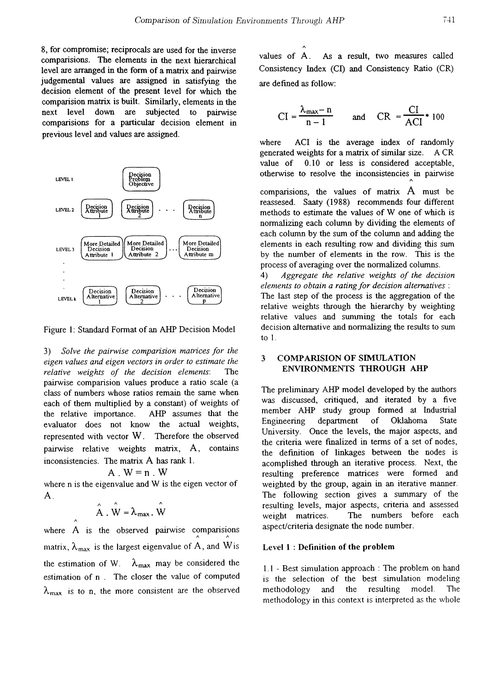8, for compromise; reciprocals are used for the inverse comparisions. The elements in the next hierarchical level are arranged in the fonn of a matrix and pairwise judgemental values are assigned in satisfying the decision element of the present level for which the comparision matrix is built. Similarly, elements in the next level down are subjected to pairwise comparisions for a particular decision element in previous level and values are assigned.



Figure 1: Standard Format of an AHP Decision Model

*3) Solve the pairwise comparision matrices for the eigen* values and eigen vectors in order to estimate the *relative weights of the decision elements:* The pairwise comparision values produce a ratio scale (a class of numbers whose ratios remain the same when each of them multiplied by a constant) of weights of the relative importance. AHP assumes that the evaluator does not know the actual weights, represented with vector W. Therefore the observed pairwise relative weights matrix, A, contains inconsistencies. The matrix A has rank 1.

$$
A \cdot W = n \cdot W
$$

where n is the eigenvalue and W is the eigen vector of  $A<sub>1</sub>$ 

$$
\hat{A} \cdot \hat{W} = \lambda_{\text{max}} \cdot \hat{W}
$$

where A is the observed pairwise comparisions matrix,  $\lambda_{\text{max}}$  is the largest eigenvalue of  $\hat{A}$ , and  $\hat{W}$  is the estimation of W.  $\lambda_{\text{max}}$  may be considered the estimation of n. The closer the value of computed  $\lambda_{\text{max}}$  is to n, the more consistent are the observed values of A. As a result, two measures called Consistency Index (CI) and Consistency Ratio (CR) are defined as follow:

 $\lambda$ 

$$
CI = \frac{\lambda_{\text{max}} - n}{n - 1} \qquad \text{and} \qquad CR = \frac{CI}{ACI} \cdot 100
$$

comparisions, the values of matrix  $A$  must be reassesed. Saaty (1988) recommends four different methods to estimate the values of W one of which is normalizing each colwnn by dividing the elements of each column by the sum of the column and adding the elements in each resulting row and dividing this swn by the number of elements in the row. This is the process of averaging over the normalized columns. where ACI is the average index of randomly generated weights for a matrix of similar size. A CR value of 0.10 or less is considered acceptable, otherwise to resolve the inconsistencies in pairwise *1\*

*4) Aggregate the relative weights 0.( the decision elements to obtain a rating for decision alternatives* : The last step of the process is the aggregation of the relative weights through the hierarchy by weighting relative values and summing the totals for each decision alternative and normalizing the results to sum to 1.

### 3 COMPARISION OF SIMULATION ENVIRONMENTS THROUGH AHP

The preliminary AHP model developed by the authors was discussed, critiqued, and iterated by a five member AHP study group fonned at Industrial Engineering department of Oklahoma State University. Once the levels, the major aspects, and the criteria were finalized in terms of a set of nodes, the definition of linkages between the nodes is acomplished through an iterative process. Next, the resulting preference matrices were fonned and weighted by the group, again in an iterative manner. The following section gives a summary of the resulting levels, major aspects, criteria and assessed weight matrices. The numbers before each aspect/criteria designate the node number.

#### Level 1 : Definition of the problem

1. I - Best simulation approach: The problem on hand is the selection of the best simulation modeling methodology and the resulting model. The methodology in this context is interpreted as the whole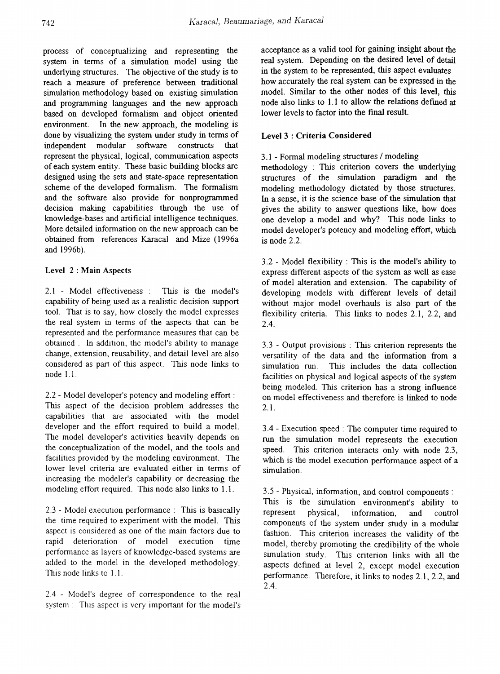process of conceptualizing and representing the system in terms of a simulation model using the underlying structures. The objective of the study is to reach a measure of preference between traditional simulation methodology based on existing simulation and programming languages and the new approach based on developed formalism and object oriented environment. In the new approach, the modeling is done by visualizing the system under study in terms of independent modular software constructs that independent modular software constructs that represent the physical, logical, communication aspects of each system entity. These basic building blocks are designed using the sets and state-space representation scheme of the developed formalism. The formalism and the software also provide for nonprogrammed decision making capabilities through the use of knowledge-bases and artificial intelligence techniques. More detailed information on the new approach can be obtained from references Karacal and Mize (1996a and 1996b).

#### Level 2: Main Aspects

 $2.1$  - Model effectiveness : This is the model's capability of being used as a realistic decision support tool. That is to say, how closely the model expresses the real system in terms of the aspects that can be represented and the performance measures that can be obtained. In addition, the model's ability to manage change, extension, reusability, and detail level are also considered as part of this aspect. This node links to node 1.1.

2.2 - Model developer's potency and modeling effort : This aspect of the decision problem addresses the capabilities that are associated with the model developer and the effort required to build a model. The model developer's activities heavily depends on the conceptualization of the model, and the tools and facilities provided by the modeling environment. The lower level criteria are evaluated either in terms of increasing the modeler's capability or decreasing the modeling effort required. This node also links to 1. 1.

2.3 - Model execution perfonnance: This is basically the time required to experiment with the model. This aspect is considered as one of the main factors due to rapid deterioration of model execution time performance as layers of knowledge-based systems are added to the model in the developed methodology. This node links to 1. 1.

2.4 - Model's degree of correspondence to the real system: This aspect is very important for the model's acceptance as a valid tool for gaining insight about the real system. Depending on the desired level of detail in the system to be represented, this aspect evaluates how accurately the real system can be expressed in the model. Similar to the other nodes of this level, this node also links to 1. 1 to allow the relations defined at lower levels to factor into the final result.

#### Level 3 : Criteria Considered

## 3.1 - Fonnal modeling structures / modeling

methodology : This criterion covers the underlying structures of the simulation paradigm and the modeling methodology dictated by those structures. In a sense, it is the science base of the simulation that gives the ability to answer questions like, how does one develop a model and why? This node links to model developer's potency and modeling effort, which is node 2.2.

3.2 - Model flexibility : This is the model's ability to express different aspects of the system as well as ease of model alteration and extension. The capability of developing models with different levels of detail without major model overhauls is also part of the flexibility criteria. This links to nodes 2.1, 2.2, and 2.4.

3.3 - Output provisions : This criterion represents the versatility of the data and the information from a simulation run. This includes the data collection facilities on physical and logical aspects of the system being modeled. This criterion has a strong influence on model effectiveness and therefore is linked to node 2.1.

3.4 - Execution speed: The computer time required to run the simulation model represents the execution speed. This criterion interacts only with node 2.3, which is the model execution performance aspect of a simulation.

3.5 - Physical, infonnation, and control components : This is the simulation environment's ability to represent physical, infonnation, and control components of the system under study in a modular fashion. This criterion increases the validity of the model, thereby promoting the credibility of the whole simulation study. This criterion links with all the aspects defined at level 2, except model execution perfonnance. Therefore, it links to nodes 2.1, 2.2, and 2.4.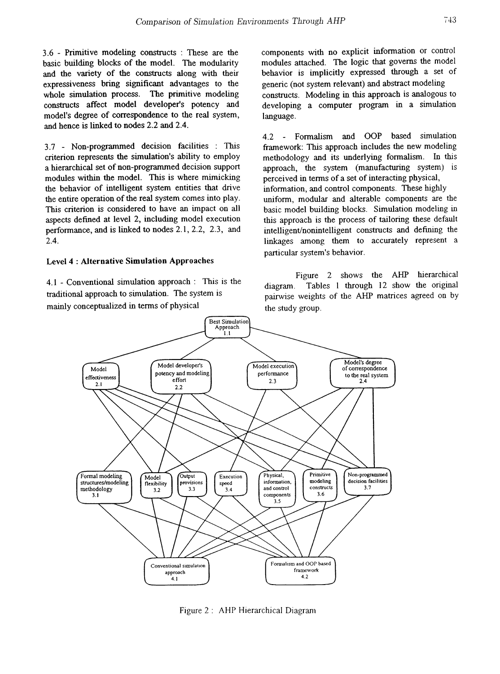3.6 - Primitive modeling constructs : These are the basic building blocks of the model. The modularity and the variety of the constructs along with their expressiveness bring significant advantages to the whole simulation process. The primitive modeling constructs affect model developer's potency and model's degree of correspondence to the real system, and hence is linked to nodes 2.2 and 2.4.

3.7 - Non-programmed decision facilities : This criterion represents the simulation's ability to employ a hierarchical set of non-programmed decision support modules within the model. This is where mimicking the behavior of intelligent system entities that drive the entire operation of the real system comes into play. This criterion is considered to have an impact on all aspects defined at level 2, including model execution perfonnance, and is linked to nodes 2.1, 2.2, 2.3, and 2.4.

#### Level 4 : Alternative Simulation Approaches

4.1 - Conventional simulation approach: This is the traditional approach to simulation. The system is mainly conceptualized in terms of physical

components with no explicit infonnation or control modules attached. The logic that governs the model behavior is implicitly expressed through a set of generic (not system relevant) and abstract modeling constructs. Modeling in this approach is analogous to developing a computer program in a simulation language.

4.2 Fonnalism and OOP based simulation framework: This approach includes the new modeling methodology and its underlying fonnalism. In this approach, the system (manufacturing system) is perceived in tenns of a set of interacting physical, information, and control components. These highly uniform, modular and alterable components are the basic model building blocks. Simulation modeling in this approach is the process of tailoring these default intelligent/nonintelligent constructs and defining the linkages among them to accurately represent a particular system's behavior.

Figure 2 shows the AHP hierarchical diagram. Tables 1 through 12 show the original pairwise weights of the AHP matrices agreed on by the study group.



Figure 2: AHP Hierarchical Diagram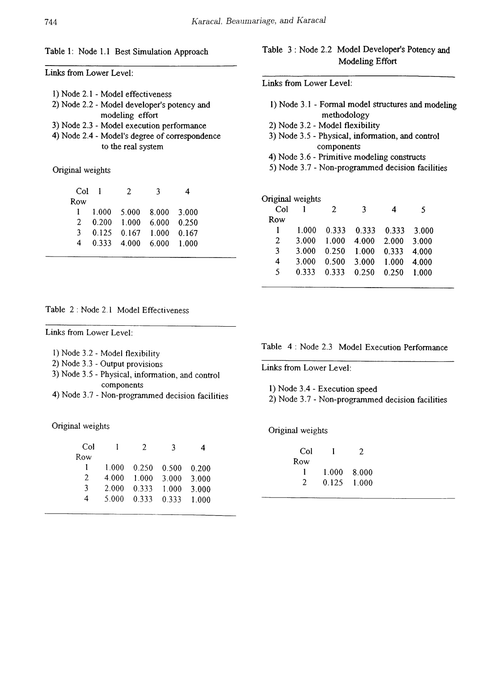#### Table 1: Node 1.1 Best Simulation Approach

Links from Lower Level:

| 1) Node 2.1 - Model effectiveness           |
|---------------------------------------------|
| 2) Node 2.2 - Model developer's potency and |
| modeling effort                             |
| 3) Node 2.3 Model execution negamento       |

- 3) Node 2.3 Model execution performance
- 4) Node 2.4 Model's degree of correspondence to the real system

#### Original weights

| Col 1          | Τ.                              |  |  |
|----------------|---------------------------------|--|--|
| Row            |                                 |  |  |
|                | 1 1.000 5.000 8.000 3.000       |  |  |
| $\overline{2}$ | $0.200$ 1.000 6.000 0.250       |  |  |
| 3.             | $0.125$ $0.167$ $1.000$ $0.167$ |  |  |
| 4              | 0.333 4.000 6.000 1.000         |  |  |
|                |                                 |  |  |

#### Table 2 : Node 2.1 Model Effectiveness

Links from Lower Level:

- I) Node 3.2 Model flexibility
- 2) Node 3.3 Output provisions
- 3) Node 3.5 Physical, information, and control components
- 4) Node 3.7 Non-programmed decision facilities

Original weights

| Col           |       | 7     | 3     |       |
|---------------|-------|-------|-------|-------|
| Row           |       |       |       |       |
|               | 1.000 | 0.250 | 0.500 | 0.200 |
| $\mathcal{L}$ | 4.000 | 1.000 | 3.000 | 3.000 |
| 3             | 2.000 | 0.333 | 1.000 | 3.000 |
| 4             | 5.000 | 0.333 | 0.333 | 1.000 |
|               |       |       |       |       |

## Table 3: Node 2.2 Model Developer's Potency and Modeling Effort

Links from Lower Level:

- I) Node 3.1 Fonnal model structures and modeling methodology
- 2) Node 3.2 Model flexibility
- 3) Node 3.5 Physical, infonnation, and control components
- 4) Node 3.6 Primitive modeling constructs
- 5) Node 3.7 Non-programmed decision facilities

## Original weights

| Col |       | 2           | વ                       | 4     | 5     |
|-----|-------|-------------|-------------------------|-------|-------|
| Row |       |             |                         |       |       |
| 1   | 1.000 |             | 0.333 0.333 0.333 3.000 |       |       |
| 2   | 3.000 | 1.000       | 4.000 2.000             |       | 3.000 |
| 3   | 3.000 | 0.250 1.000 |                         | 0.333 | 4.000 |
| 4   | 3.000 | 0.500       | 3.000                   | 1.000 | 4.000 |
| 5   | 0 333 |             | $0.333 \quad 0.250$     | 0.250 | 1.000 |
|     |       |             |                         |       |       |

Table 4: Node 2.3 Model Execution Performance

Links from Lower Level:

1) Node 3.4 - Execution speed

2) Node 3.7 - Non-programmed decision facilities

Original weights

| Col |       | 2       |
|-----|-------|---------|
| Row |       |         |
|     | 1.000 | - 8.000 |
| 2   | 0.125 | 1.000   |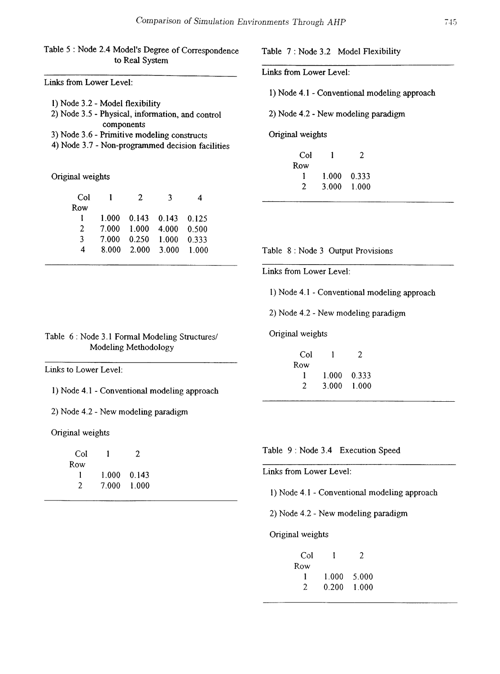## Table 5 : Node 2.4 Model's Degree of Correspondence to Real System

Links from Lower Level:

| 1) Node 3.2 - Model flexibility                  |
|--------------------------------------------------|
| 2) Node 3.5 - Physical, information, and control |
| components                                       |
| 3) Node 3.6 - Primitive modeling constructs      |

4) Node 3.7 - Non-programmed decision facilities

Original weights

| Col           |       | 2     | 3                       |       |
|---------------|-------|-------|-------------------------|-------|
| Row           |       |       |                         |       |
| ı             | 1.000 |       | $0.143$ $0.143$ $0.125$ |       |
| $\mathcal{L}$ | 7.000 | 1.000 | 4.000                   | 0.500 |
| 3             | 7 000 | 0.250 | 1.000                   | 0.333 |
| 4             | 8.000 |       | 2.000 3.000             | 1.000 |
|               |       |       |                         |       |

Table 6: Node 3.1 Fonnal Modeling Structures/ Modeling Methodology

Links to Lower Level:

1) Node 4.1 - Conventional modeling approach

2) Node 4.2 - New modeling paradigm

Original weights

| Col |       | 2           |
|-----|-------|-------------|
| Row |       |             |
|     |       | 1.000 0.143 |
| 2   | 7.000 | -1.000      |

Table 7: Node 3.2 Model Flexibility

Links from Lower Level:

I) Node 4.1 - Conventional modeling approach

2) Node 4.2 - New modeling paradigm

Original weights

| Col |       | 2     |
|-----|-------|-------|
| Row |       |       |
|     | 1.000 | 0.333 |
| 2   | 3.000 | 1.000 |

Table 8: Node 3 Output Provisions

Links from Lower Level:

1) Node 4.1 - Conventional modeling approach

2) Node 4.2 - New modeling paradigm

Original weights

| Col |       | 2     |
|-----|-------|-------|
| Row |       |       |
|     | 1.000 | 0.333 |
| 2   | 3.000 | 1.000 |

Table 9: Node 3.4 Execution Speed

Links from Lower Level:

I) Node 4.1 - Conventional modeling approach

2) Node 4.2 - New modeling paradigm

Original weights

| Col |       | $\mathcal{L}$ |
|-----|-------|---------------|
| Row |       |               |
|     | 1.000 | 5.000         |
| 2   | 0.200 | 1.000         |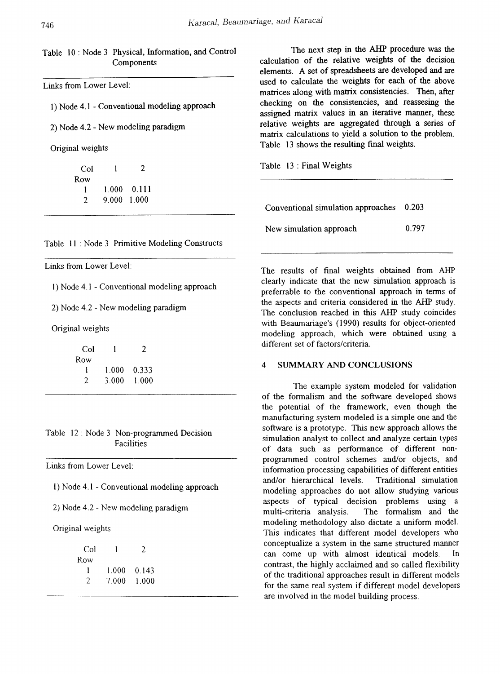### Table 10: Node 3 Physical, Information, and Control Components

Links from Lower Level:

1) Node 4.1 - Conventional modeling approach

2) Node 4.2 - New modeling paradigm

Original weights

| Col |             | 2                   |
|-----|-------------|---------------------|
| Row |             |                     |
|     |             | $1.000 \quad 0.111$ |
| 2   | 9.000 1.000 |                     |

Table 11 : Node 3 Primitive Modeling Constructs

Links from Lower Level:

I) Node 4.1 - Conventional modeling approach

2) Node 4.2 - New modeling paradigm

Original weights

| Col |       | 2       |
|-----|-------|---------|
| Row |       |         |
|     | 1 000 | 0 3 3 3 |
| 2   | 3.000 | 1.000   |

Table 12: Node 3 Non-programmed Decision Facilities

Links from Lower Level:

I) Node 4.1 - Conventional modeling approach

2) Node 4.2 - New modeling paradigm

Original weights

| Col |       | 2     |
|-----|-------|-------|
| Row |       |       |
|     | 1 000 | 0.143 |
| 2   | 7.000 | 1.000 |
|     |       |       |

The next step in the AHP procedure was the calculation of the relative weights of the decision elements. A set of spreadsheets are developed and are used to calculate the weights for each of the above matrices along with matrix consistencies. Then, after checking on the consistencies, and reassesing the assigned matrix values in an iterative manner, these relative weights are aggregated through a series of matrix calculations to yield a solution to the problem. Table 13 shows the resulting final weights.

| Table 13 : Final Weights                 |       |
|------------------------------------------|-------|
|                                          |       |
| Conventional simulation approaches 0.203 |       |
| New simulation approach                  | 0.797 |

The results of final weights obtained from AHP clearly indicate that the new simulation approach is preferrable to the conventional approach in terms of the aspects and criteria considered in the AHP study. The conclusion reached in this AHP study coincides with Beawnariage's (1990) results for object-oriented modeling approach, which were obtained using a different set of factors/criteria.

### 4 SUMMARY AND CONCLUSIONS

The example system modeled for validation of the fonnalism and the software developed shows the potential of the framework, even though the manufacturing system modeled is a simple one and the software is a prototype. This new approach allows the simulation analyst to collect and analyze certain types of data such as perfonnance of different nonprogrammed control schemes and/or objects, and information processing capabilities of different entities and/or hierarchical levels. Traditional simulation modeling approaches do not allow studying various aspects of typical decision problems using a multi-criteria analysis. The formalism and the modeling methodology also dictate a uniform model. This indicates that different model developers who conceptualize a system in the same structured manner can come up with almost identical models. In contrast, the highly acclaimed and so called flexibility of the traditional approaches result in different models for the same real system if different model developers are involved in the model building process.